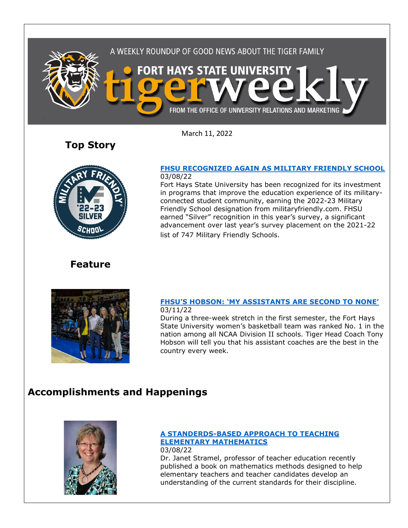

March 11, 2022

**Top Story**



### **[FHSU RECOGNIZED AGAIN AS MILITARY FRIENDLY SCHOOL](https://www.fhsu.edu/news/2022/03/fhsu-recognized-again-as-military-friendly-school)** 03/08/22

Fort Hays State University has been recognized for its investment in programs that improve the education experience of its militaryconnected student community, earning the 2022-23 Military Friendly School designation from militaryfriendly.com. FHSU earned "Silver" recognition in this year's survey, a significant advancement over last year's survey placement on the 2021-22 list of 747 Military Friendly Schools.

## **Feature**



### **FHSU'S HOBSON: ['MY ASSISTANTS ARE SECOND TO NONE'](https://www.fhsu.edu/news/2022/03/fhsus-hobson-my-assistants-are-second-to-none)** 03/11/22

During a three-week stretch in the first semester, the Fort Hays State University women's basketball team was ranked No. 1 in the nation among all NCAA Division II schools. Tiger Head Coach Tony Hobson will tell you that his assistant coaches are the best in the country every week.

# **Accomplishments and Happenings**



### **[A STANDERDS-BASED APPROACH TO TEACHING](https://www.greatriverlearning.com/product-details/1992)  [ELEMENTARY MATHEMATICS](https://www.greatriverlearning.com/product-details/1992)**

03/08/22 Dr. Janet Stramel, professor of teacher education recently published a book on mathematics methods designed to help elementary teachers and teacher candidates develop an understanding of the current standards for their discipline.